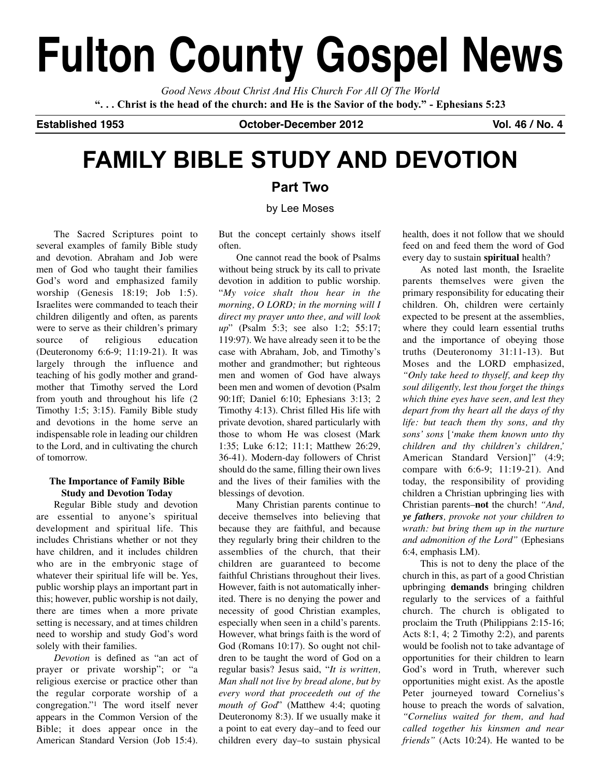# **Fulton County Gospel News**

*Good News About Christ And His Church For All Of The World* "... Christ is the head of the church: and He is the Savior of the body." - Ephesians 5:23

**Established 1953 October-December 2012 Vol. 46 / No. 4**

# **FAMILY BIBLE STUDY AND DEVOTION**

### **Part Two**

#### by Lee Moses

The Sacred Scriptures point to several examples of family Bible study and devotion. Abraham and Job were men of God who taught their families God's word and emphasized family worship (Genesis 18:19; Job 1:5). Israelites were commanded to teach their children diligently and often, as parents were to serve as their children's primary source of religious education (Deuteronomy 6:6-9; 11:19-21). It was largely through the influence and teaching of his godly mother and grandmother that Timothy served the Lord from youth and throughout his life (2 Timothy 1:5; 3:15). Family Bible study and devotions in the home serve an indispensable role in leading our children to the Lord, and in cultivating the church of tomorrow.

#### **The Importance of Family Bible Study and Devotion Today**

Regular Bible study and devotion are essential to anyone's spiritual development and spiritual life. This includes Christians whether or not they have children, and it includes children who are in the embryonic stage of whatever their spiritual life will be. Yes, public worship plays an important part in this; however, public worship is not daily, there are times when a more private setting is necessary, and at times children need to worship and study God's word solely with their families.

*Devotion* is defined as "an act of prayer or private worship"; or "a religious exercise or practice other than the regular corporate worship of a congregation."1 The word itself never appears in the Common Version of the Bible; it does appear once in the American Standard Version (Job 15:4). But the concept certainly shows itself often.

One cannot read the book of Psalms without being struck by its call to private devotion in addition to public worship. "*My voice shalt thou hear in the morning, O LORD; in the morning will I direct my prayer unto thee, and will look up*" (Psalm 5:3; see also 1:2; 55:17; 119:97). We have already seen it to be the case with Abraham, Job, and Timothy's mother and grandmother; but righteous men and women of God have always been men and women of devotion (Psalm 90:1ff; Daniel 6:10; Ephesians 3:13; 2 Timothy 4:13). Christ filled His life with private devotion, shared particularly with those to whom He was closest (Mark 1:35; Luke 6:12; 11:1; Matthew 26:29, 36-41). Modern-day followers of Christ should do the same, filling their own lives and the lives of their families with the blessings of devotion.

Many Christian parents continue to deceive themselves into believing that because they are faithful, and because they regularly bring their children to the assemblies of the church, that their children are guaranteed to become faithful Christians throughout their lives. However, faith is not automatically inherited. There is no denying the power and necessity of good Christian examples, especially when seen in a child's parents. However, what brings faith is the word of God (Romans 10:17). So ought not children to be taught the word of God on a regular basis? Jesus said, "*It is written, Man shall not live by bread alone, but by every word that proceedeth out of the mouth of God*" (Matthew 4:4; quoting Deuteronomy 8:3). If we usually make it a point to eat every day–and to feed our children every day–to sustain physical

health, does it not follow that we should feed on and feed them the word of God every day to sustain **spiritual** health?

As noted last month, the Israelite parents themselves were given the primary responsibility for educating their children. Oh, children were certainly expected to be present at the assemblies, where they could learn essential truths and the importance of obeying those truths (Deuteronomy 31:11-13). But Moses and the LORD emphasized, *"Only take heed to thyself, and keep thy soul diligently, lest thou forget the things which thine eyes have seen, and lest they depart from thy heart all the days of thy life: but teach them thy sons, and thy sons' sons* [*'make them known unto thy children and thy children's children,'* American Standard Version]" (4:9; compare with 6:6-9; 11:19-21). And today, the responsibility of providing children a Christian upbringing lies with Christian parents–**not** the church! *"And, ye fathers, provoke not your children to wrath: but bring them up in the nurture and admonition of the Lord"* (Ephesians 6:4, emphasis LM).

This is not to deny the place of the church in this, as part of a good Christian upbringing **demands** bringing children regularly to the services of a faithful church. The church is obligated to proclaim the Truth (Philippians 2:15-16; Acts 8:1, 4; 2 Timothy 2:2), and parents would be foolish not to take advantage of opportunities for their children to learn God's word in Truth, wherever such opportunities might exist. As the apostle Peter journeyed toward Cornelius's house to preach the words of salvation, *"Cornelius waited for them, and had called together his kinsmen and near friends"* (Acts 10:24). He wanted to be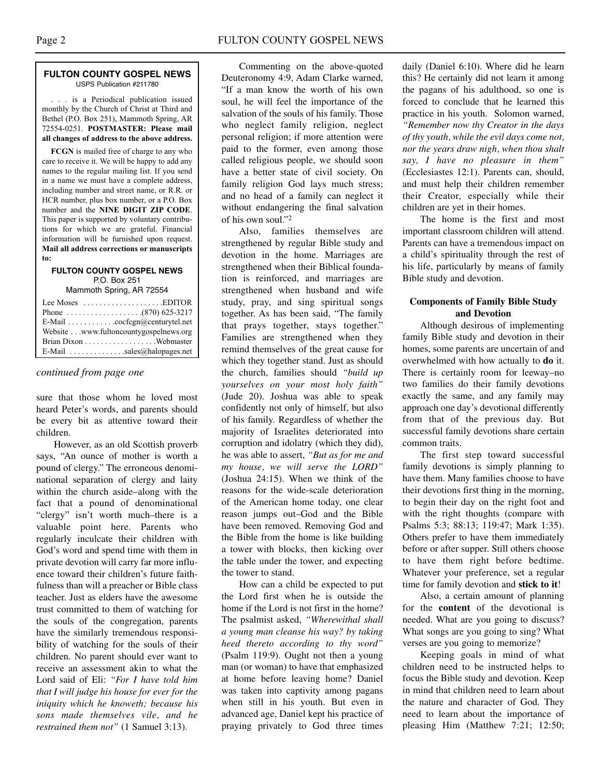#### **FULTON COUNTY GOSPEL NEWS** USPS Publication #211780

. . . is a Periodical publication issued monthly by the Church of Christ at Third and Bethel (P.O. Box 251), Mammoth Spring, AR 72554-0251. **POSTMASTER: Please mail all changes of address to the above address.**

**FCGN** is mailed free of charge to any who care to receive it. We will be happy to add any names to the regular mailing list. If you send in a name we must have a complete address, including number and street name, or R.R. or HCR number, plus box number, or a P.O. Box number and the **NINE DIGIT ZIP CODE**. This paper is supported by voluntary contributions for which we are grateful. Financial information will be furnished upon request. **Mail all address corrections or manuscripts to:**

#### **FULTON COUNTY GOSPEL NEWS** P.O. Box 251

Mammoth Spring, AR 72554

| Lee Moses $\dots\dots\dots\dots\dots\dots$ . EDITOR         |
|-------------------------------------------------------------|
|                                                             |
| E-Mail $\ldots \ldots \ldots \ldots$ cocfcgn@centurytel.net |
| Website www.fultoncountygospelnews.org                      |
|                                                             |
| E-Mail $\ldots$ sales@halopages.net                         |

#### *continued from page one*

sure that those whom he loved most heard Peter's words, and parents should be every bit as attentive toward their children.

However, as an old Scottish proverb says, "An ounce of mother is worth a pound of clergy." The erroneous denominational separation of clergy and laity within the church aside–along with the fact that a pound of denominational "clergy" isn't worth much–there is a valuable point here. Parents who regularly inculcate their children with God's word and spend time with them in private devotion will carry far more influence toward their children's future faithfulness than will a preacher or Bible class teacher. Just as elders have the awesome trust committed to them of watching for the souls of the congregation, parents have the similarly tremendous responsibility of watching for the souls of their children. No parent should ever want to receive an assessment akin to what the Lord said of Eli: *"For I have told him that I will judge his house for ever for the iniquity which he knoweth; because his sons made themselves vile, and he restrained them not"* (1 Samuel 3:13).

Commenting on the above-quoted Deuteronomy 4:9, Adam Clarke warned, "If a man know the worth of his own soul, he will feel the importance of the salvation of the souls of his family. Those who neglect family religion, neglect personal religion; if more attention were paid to the former, even among those called religious people, we should soon have a better state of civil society. On family religion God lays much stress; and no head of a family can neglect it without endangering the final salvation of his own soul."2

Also, families themselves are strengthened by regular Bible study and devotion in the home. Marriages are strengthened when their Biblical foundation is reinforced, and marriages are strengthened when husband and wife study, pray, and sing spiritual songs together. As has been said, "The family that prays together, stays together." Families are strengthened when they remind themselves of the great cause for which they together stand. Just as should the church, families should *"build up yourselves on your most holy faith"* (Jude 20). Joshua was able to speak confidently not only of himself, but also of his family. Regardless of whether the majority of Israelites deteriorated into corruption and idolatry (which they did), he was able to assert, *"But as for me and my house, we will serve the LORD"* (Joshua 24:15). When we think of the reasons for the wide-scale deterioration of the American home today, one clear reason jumps out–God and the Bible have been removed. Removing God and the Bible from the home is like building a tower with blocks, then kicking over the table under the tower, and expecting the tower to stand.

How can a child be expected to put the Lord first when he is outside the home if the Lord is not first in the home? The psalmist asked, *"Wherewithal shall a young man cleanse his way? by taking heed thereto according to thy word"* (Psalm 119:9). Ought not then a young man (or woman) to have that emphasized at home before leaving home? Daniel was taken into captivity among pagans when still in his youth. But even in advanced age, Daniel kept his practice of praying privately to God three times daily (Daniel 6:10). Where did he learn this? He certainly did not learn it among the pagans of his adulthood, so one is forced to conclude that he learned this practice in his youth. Solomon warned, *"Remember now thy Creator in the days of thy youth, while the evil days come not, nor the years draw nigh, when thou shalt say, I have no pleasure in them"* (Ecclesiastes 12:1). Parents can, should, and must help their children remember their Creator, especially while their children are yet in their homes.

The home is the first and most important classroom children will attend. Parents can have a tremendous impact on a child's spirituality through the rest of his life, particularly by means of family Bible study and devotion.

#### **Components of Family Bible Study and Devotion**

Although desirous of implementing family Bible study and devotion in their homes, some parents are uncertain of and overwhelmed with how actually to **do** it. There is certainly room for leeway–no two families do their family devotions exactly the same, and any family may approach one day's devotional differently from that of the previous day. But successful family devotions share certain common traits.

The first step toward successful family devotions is simply planning to have them. Many families choose to have their devotions first thing in the morning, to begin their day on the right foot and with the right thoughts (compare with Psalms 5:3; 88:13; 119:47; Mark 1:35). Others prefer to have them immediately before or after supper. Still others choose to have them right before bedtime. Whatever your preference, set a regular time for family devotion and **stick to it**!

Also, a certain amount of planning for the **content** of the devotional is needed. What are you going to discuss? What songs are you going to sing? What verses are you going to memorize?

Keeping goals in mind of what children need to be instructed helps to focus the Bible study and devotion. Keep in mind that children need to learn about the nature and character of God. They need to learn about the importance of pleasing Him (Matthew 7:21; 12:50;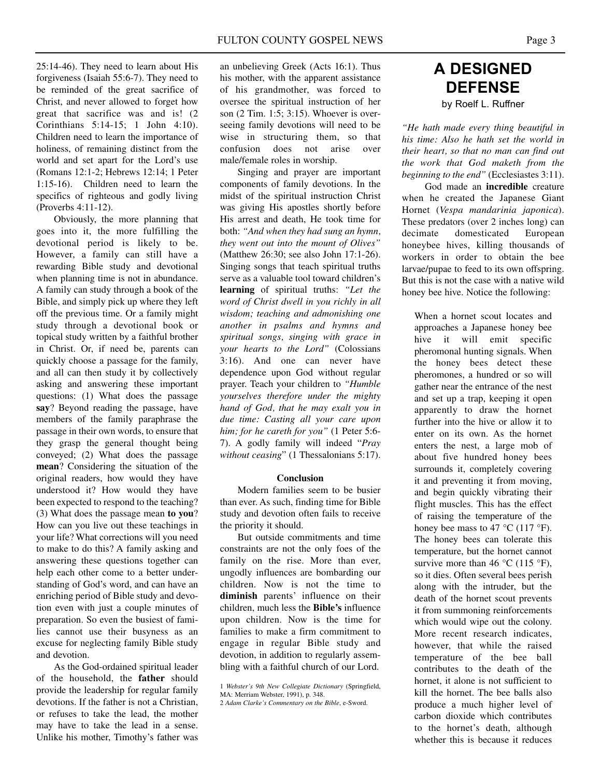25:14-46). They need to learn about His forgiveness (Isaiah 55:6-7). They need to be reminded of the great sacrifice of Christ, and never allowed to forget how great that sacrifice was and is! (2 Corinthians 5:14-15; 1 John 4:10). Children need to learn the importance of holiness, of remaining distinct from the world and set apart for the Lord's use (Romans 12:1-2; Hebrews 12:14; 1 Peter 1:15-16). Children need to learn the specifics of righteous and godly living (Proverbs 4:11-12).

Obviously, the more planning that goes into it, the more fulfilling the devotional period is likely to be. However, a family can still have a rewarding Bible study and devotional when planning time is not in abundance. A family can study through a book of the Bible, and simply pick up where they left off the previous time. Or a family might study through a devotional book or topical study written by a faithful brother in Christ. Or, if need be, parents can quickly choose a passage for the family, and all can then study it by collectively asking and answering these important questions: (1) What does the passage **say**? Beyond reading the passage, have members of the family paraphrase the passage in their own words, to ensure that they grasp the general thought being conveyed; (2) What does the passage **mean**? Considering the situation of the original readers, how would they have understood it? How would they have been expected to respond to the teaching? (3) What does the passage mean **to you**? How can you live out these teachings in your life? What corrections will you need to make to do this? A family asking and answering these questions together can help each other come to a better understanding of God's word, and can have an enriching period of Bible study and devotion even with just a couple minutes of preparation. So even the busiest of families cannot use their busyness as an excuse for neglecting family Bible study and devotion.

As the God-ordained spiritual leader of the household, the **father** should provide the leadership for regular family devotions. If the father is not a Christian, or refuses to take the lead, the mother may have to take the lead in a sense. Unlike his mother, Timothy's father was

an unbelieving Greek (Acts 16:1). Thus his mother, with the apparent assistance of his grandmother, was forced to oversee the spiritual instruction of her son (2 Tim. 1:5; 3:15). Whoever is overseeing family devotions will need to be wise in structuring them, so that confusion does not arise over male/female roles in worship.

Singing and prayer are important components of family devotions. In the midst of the spiritual instruction Christ was giving His apostles shortly before His arrest and death, He took time for both: *"And when they had sung an hymn, they went out into the mount of Olives"* (Matthew 26:30; see also John 17:1-26). Singing songs that teach spiritual truths serve as a valuable tool toward children's **learning** of spiritual truths: *"Let the word of Christ dwell in you richly in all wisdom; teaching and admonishing one another in psalms and hymns and spiritual songs, singing with grace in your hearts to the Lord"* (Colossians 3:16). And one can never have dependence upon God without regular prayer. Teach your children to *"Humble yourselves therefore under the mighty hand of God, that he may exalt you in due time: Casting all your care upon him; for he careth for you"* (1 Peter 5:6- 7). A godly family will indeed "*Pray without ceasing*" (1 Thessalonians 5:17).

#### **Conclusion**

Modern families seem to be busier than ever. As such, finding time for Bible study and devotion often fails to receive the priority it should.

But outside commitments and time constraints are not the only foes of the family on the rise. More than ever, ungodly influences are bombarding our children. Now is not the time to **diminish** parents' influence on their children, much less the **Bible's** influence upon children. Now is the time for families to make a firm commitment to engage in regular Bible study and devotion, in addition to regularly assembling with a faithful church of our Lord.

## **A DESIGNED DEFENSE** by Roelf L. Ruffner

*"He hath made every thing beautiful in his time: Also he hath set the world in their heart, so that no man can find out the work that God maketh from the beginning to the end"* (Ecclesiastes 3:11).

God made an **incredible** creature when he created the Japanese Giant Hornet (*Vespa mandarinia japonica*). These predators (over 2 inches long) can decimate domesticated European honeybee hives, killing thousands of workers in order to obtain the bee larvae/pupae to feed to its own offspring. But this is not the case with a native wild honey bee hive. Notice the following:

When a hornet scout locates and approaches a Japanese honey bee hive it will emit specific pheromonal hunting signals. When the honey bees detect these pheromones, a hundred or so will gather near the entrance of the nest and set up a trap, keeping it open apparently to draw the hornet further into the hive or allow it to enter on its own. As the hornet enters the nest, a large mob of about five hundred honey bees surrounds it, completely covering it and preventing it from moving, and begin quickly vibrating their flight muscles. This has the effect of raising the temperature of the honey bee mass to 47  $^{\circ}$ C (117  $^{\circ}$ F). The honey bees can tolerate this temperature, but the hornet cannot survive more than 46  $^{\circ}$ C (115  $^{\circ}$ F), so it dies. Often several bees perish along with the intruder, but the death of the hornet scout prevents it from summoning reinforcements which would wipe out the colony. More recent research indicates, however, that while the raised temperature of the bee ball contributes to the death of the hornet, it alone is not sufficient to kill the hornet. The bee balls also produce a much higher level of carbon dioxide which contributes to the hornet's death, although whether this is because it reduces

<sup>1</sup> *Webster's 9th New Collegiate Dictionary* (Springfield, MA: Merriam Webster, 1991), p. 348.

<sup>2</sup> *Adam Clarke's Commentary on the Bible*, e-Sword.